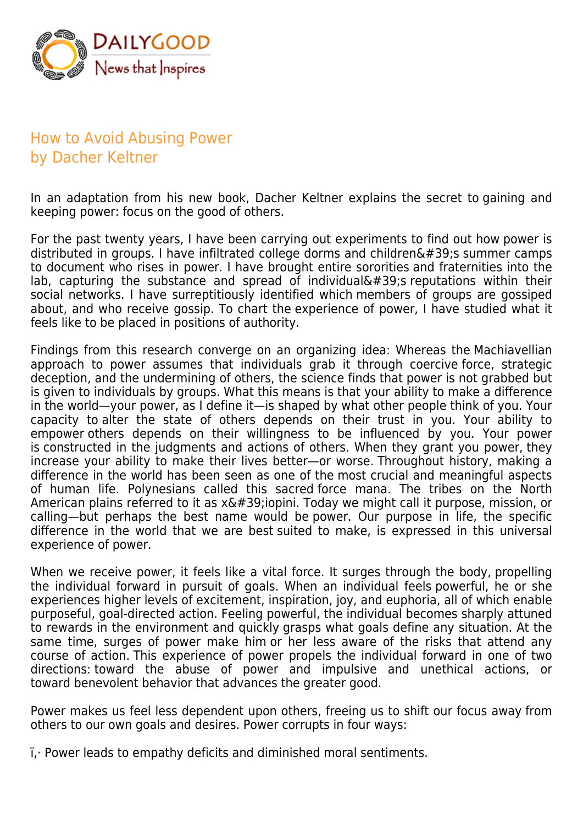

## How to Avoid Abusing Power by Dacher Keltner

In an adaptation from his new book, Dacher Keltner explains the secret to gaining and keeping power: focus on the good of others.

For the past twenty years, I have been carrying out experiments to find out how power is distributed in groups. I have infiltrated college dorms and children $\&\#39$ ; summer camps to document who rises in power. I have brought entire sororities and fraternities into the lab, capturing the substance and spread of individual $\&\#39$ ; reputations within their social networks. I have surreptitiously identified which members of groups are gossiped about, and who receive gossip. To chart the experience of power, I have studied what it feels like to be placed in positions of authority.

Findings from this research converge on an organizing idea: Whereas the Machiavellian approach to power assumes that individuals grab it through coercive force, strategic deception, and the undermining of others, the science finds that power is not grabbed but is given to individuals by groups. What this means is that your ability to make a difference in the world—your power, as I define it—is shaped by what other people think of you. Your capacity to alter the state of others depends on their trust in you. Your ability to empower others depends on their willingness to be influenced by you. Your power is constructed in the judgments and actions of others. When they grant you power, they increase your ability to make their lives better—or worse. Throughout history, making a difference in the world has been seen as one of the most crucial and meaningful aspects of human life. Polynesians called this sacred force mana. The tribes on the North American plains referred to it as  $x\&\#39$ ; iopini. Today we might call it purpose, mission, or calling—but perhaps the best name would be power. Our purpose in life, the specific difference in the world that we are best suited to make, is expressed in this universal experience of power.

When we receive power, it feels like a vital force. It surges through the body, propelling the individual forward in pursuit of goals. When an individual feels powerful, he or she experiences higher levels of excitement, inspiration, joy, and euphoria, all of which enable purposeful, goal-directed action. Feeling powerful, the individual becomes sharply attuned to rewards in the environment and quickly grasps what goals define any situation. At the same time, surges of power make him or her less aware of the risks that attend any course of action. This experience of power propels the individual forward in one of two directions: toward the abuse of power and impulsive and unethical actions, or toward benevolent behavior that advances the greater good.

Power makes us feel less dependent upon others, freeing us to shift our focus away from others to our own goals and desires. Power corrupts in four ways:

 $i$ . Power leads to empathy deficits and diminished moral sentiments.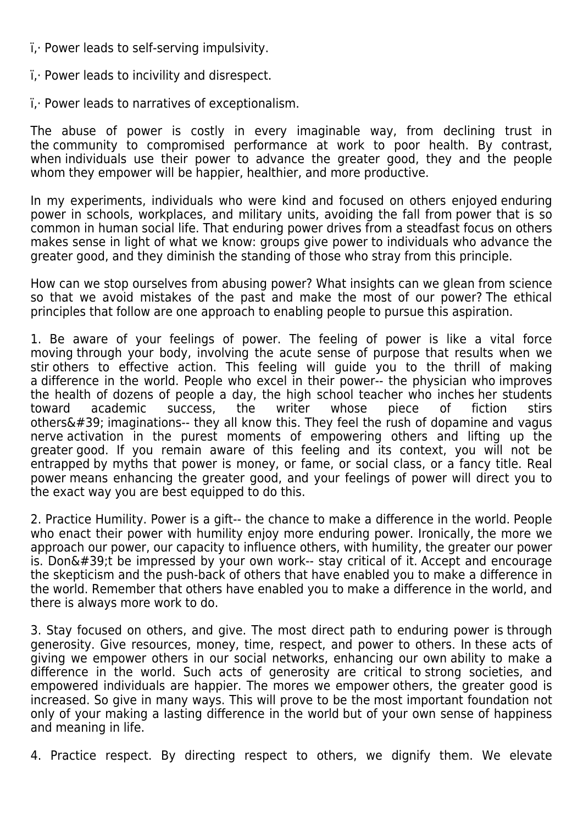- $i$ . Power leads to self-serving impulsivity.
- $i$ . Power leads to incivility and disrespect.
- $i$ . Power leads to narratives of exceptionalism.

The abuse of power is costly in every imaginable way, from declining trust in the community to compromised performance at work to poor health. By contrast, when individuals use their power to advance the greater good, they and the people whom they empower will be happier, healthier, and more productive.

In my experiments, individuals who were kind and focused on others enjoyed enduring power in schools, workplaces, and military units, avoiding the fall from power that is so common in human social life. That enduring power drives from a steadfast focus on others makes sense in light of what we know: groups give power to individuals who advance the greater good, and they diminish the standing of those who stray from this principle.

How can we stop ourselves from abusing power? What insights can we glean from science so that we avoid mistakes of the past and make the most of our power? The ethical principles that follow are one approach to enabling people to pursue this aspiration.

1. Be aware of your feelings of power. The feeling of power is like a vital force moving through your body, involving the acute sense of purpose that results when we stir others to effective action. This feeling will guide you to the thrill of making a difference in the world. People who excel in their power-- the physician who improves the health of dozens of people a day, the high school teacher who inches her students toward academic success, the writer whose piece of fiction stirs others $'$ ; imaginations-- they all know this. They feel the rush of dopamine and vagus nerve activation in the purest moments of empowering others and lifting up the greater good. If you remain aware of this feeling and its context, you will not be entrapped by myths that power is money, or fame, or social class, or a fancy title. Real power means enhancing the greater good, and your feelings of power will direct you to the exact way you are best equipped to do this.

2. Practice Humility. Power is a gift-- the chance to make a difference in the world. People who enact their power with humility enjoy more enduring power. Ironically, the more we approach our power, our capacity to influence others, with humility, the greater our power is. Don't be impressed by your own work-- stay critical of it. Accept and encourage the skepticism and the push-back of others that have enabled you to make a difference in the world. Remember that others have enabled you to make a difference in the world, and there is always more work to do.

3. Stay focused on others, and give. The most direct path to enduring power is through generosity. Give resources, money, time, respect, and power to others. In these acts of giving we empower others in our social networks, enhancing our own ability to make a difference in the world. Such acts of generosity are critical to strong societies, and empowered individuals are happier. The mores we empower others, the greater good is increased. So give in many ways. This will prove to be the most important foundation not only of your making a lasting difference in the world but of your own sense of happiness and meaning in life.

4. Practice respect. By directing respect to others, we dignify them. We elevate